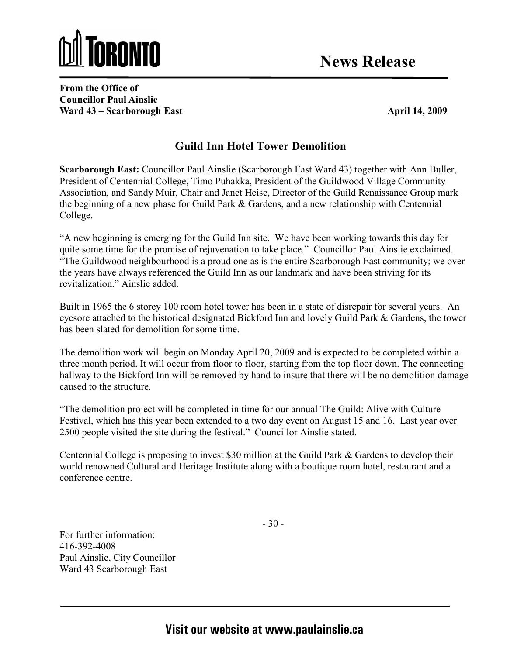

From the Office of Councillor Paul Ainslie Ward 43 – Scarborough East April 14, 2009

## Guild Inn Hotel Tower Demolition

Scarborough East: Councillor Paul Ainslie (Scarborough East Ward 43) together with Ann Buller, President of Centennial College, Timo Puhakka, President of the Guildwood Village Community Association, and Sandy Muir, Chair and Janet Heise, Director of the Guild Renaissance Group mark the beginning of a new phase for Guild Park & Gardens, and a new relationship with Centennial College.

"A new beginning is emerging for the Guild Inn site. We have been working towards this day for quite some time for the promise of rejuvenation to take place." Councillor Paul Ainslie exclaimed. "The Guildwood neighbourhood is a proud one as is the entire Scarborough East community; we over the years have always referenced the Guild Inn as our landmark and have been striving for its revitalization." Ainslie added.

Built in 1965 the 6 storey 100 room hotel tower has been in a state of disrepair for several years. An eyesore attached to the historical designated Bickford Inn and lovely Guild Park & Gardens, the tower has been slated for demolition for some time.

The demolition work will begin on Monday April 20, 2009 and is expected to be completed within a three month period. It will occur from floor to floor, starting from the top floor down. The connecting hallway to the Bickford Inn will be removed by hand to insure that there will be no demolition damage caused to the structure.

"The demolition project will be completed in time for our annual The Guild: Alive with Culture Festival, which has this year been extended to a two day event on August 15 and 16. Last year over 2500 people visited the site during the festival." Councillor Ainslie stated.

Centennial College is proposing to invest \$30 million at the Guild Park & Gardens to develop their world renowned Cultural and Heritage Institute along with a boutique room hotel, restaurant and a conference centre.

- 30 -

For further information: 416-392-4008 Paul Ainslie, City Councillor Ward 43 Scarborough East